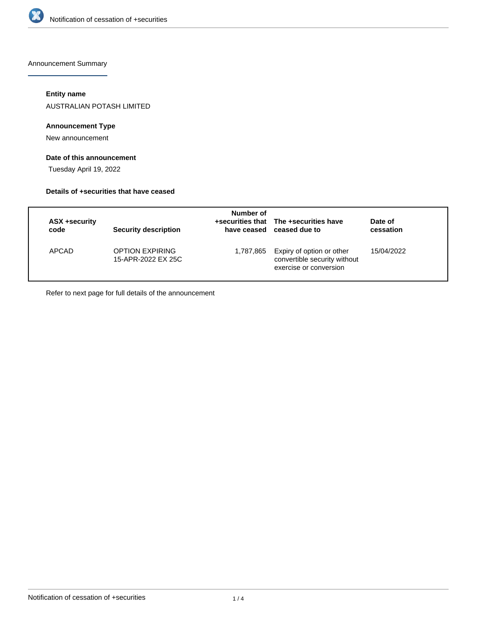

Announcement Summary

## **Entity name**

AUSTRALIAN POTASH LIMITED

## **Announcement Type**

New announcement

## **Date of this announcement**

Tuesday April 19, 2022

#### **Details of +securities that have ceased**

| ASX +security<br>code | <b>Security description</b>                  | Number of | +securities that The +securities have<br>have ceased ceased due to                            | Date of<br>cessation |
|-----------------------|----------------------------------------------|-----------|-----------------------------------------------------------------------------------------------|----------------------|
| APCAD                 | <b>OPTION EXPIRING</b><br>15-APR-2022 EX 25C |           | 1,787,865 Expiry of option or other<br>convertible security without<br>exercise or conversion | 15/04/2022           |

Refer to next page for full details of the announcement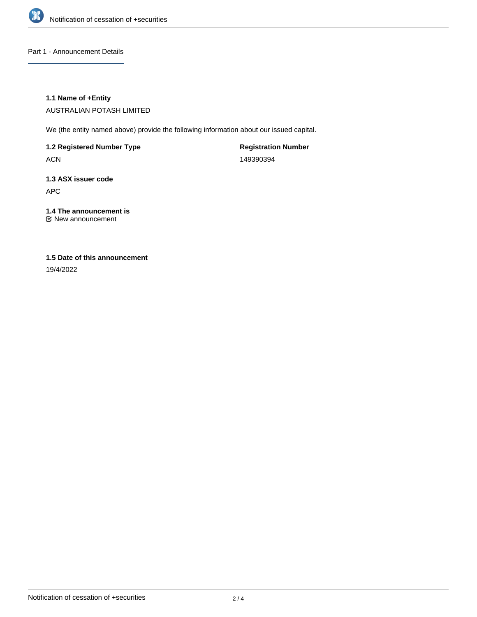

Part 1 - Announcement Details

## **1.1 Name of +Entity**

AUSTRALIAN POTASH LIMITED

We (the entity named above) provide the following information about our issued capital.

**1.2 Registered Number Type**

ACN

**Registration Number** 149390394

# **1.3 ASX issuer code** APC

**1.4 The announcement is** New announcement

## **1.5 Date of this announcement**

19/4/2022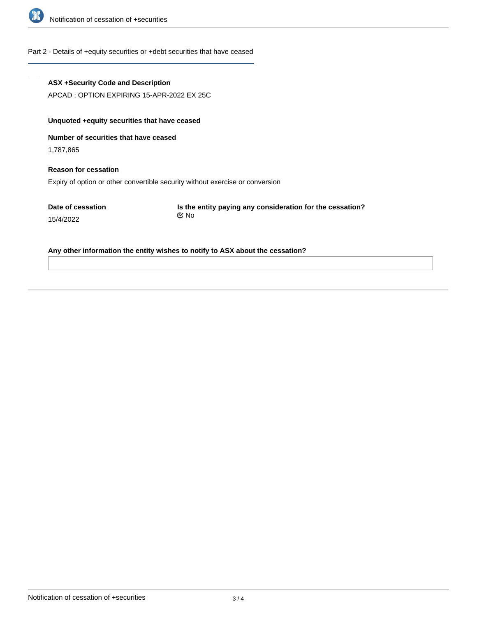

#### Part 2 - Details of +equity securities or +debt securities that have ceased

#### **ASX +Security Code and Description**

APCAD : OPTION EXPIRING 15-APR-2022 EX 25C

## **Unquoted +equity securities that have ceased**

**Number of securities that have ceased**

1,787,865

15/4/2022

# **Reason for cessation** Expiry of option or other convertible security without exercise or conversion

**Date of cessation**

**Is the entity paying any consideration for the cessation?** No

#### **Any other information the entity wishes to notify to ASX about the cessation?**